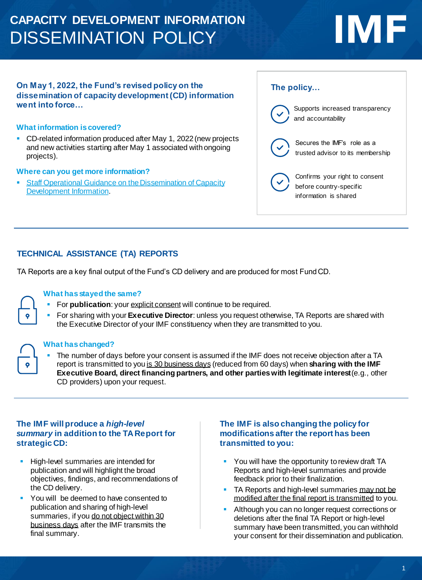## **CAPACITY DEVELOPMENT INFORMATION**  DISSEMINATION POLICY

# **IMF**

#### **On May 1, 2022, the Fund's revised policy on the dissemination of capacity development (CD) information went into force…**

#### **What information is covered?**

■ CD-related information produced after May 1, 2022 (new projects and new activities starting after May 1 associated with ongoing projects).

#### **Where can you get more information?**

**EXTERFERIGHTER ISLE STARFS IN STARFS IS SET OPERATION** Staff Operational Guidance on the Dissemination of Capacity Development Information.

#### **The policy…**



### **TECHNICAL ASSISTANCE (TA) REPORTS**

TA Reports are a key final output of the Fund's CD delivery and are produced for most Fund CD.

### **What has stayed the same?**

- **For publication**: your explicit consent will continue to be required.
- **EXTED The Starting with your Executive Director:** unless you request otherwise, TA Reports are shared with the Executive Director of your IMF constituency when they are transmitted to you.

#### **What has changed?**

The number of days before your consent is assumed if the IMF does not receive objection after a TA report is transmitted to you is 30 business days (reduced from 60 days) when **sharing with the IMF Executive Board, direct financing partners, and other parties with legitimate interest**(e.g., other CD providers) upon your request.

#### **The IMF will produce a** *high-level summary* **in addition to the TA Report for strategic CD:**

- **EXECUTE:** High-level summaries are intended for publication and will highlight the broad objectives, findings, and recommendations of the CD delivery.
- You will be deemed to have consented to publication and sharing of high-level summaries, if you do not object within 30 business days after the IMF transmits the final summary.

#### **The IMF is also changing the policy for modifications after the report has been transmitted to you:**

- You will have the opportunity to review draft TA Reports and high-level summaries and provide feedback prior to their finalization.
- TA Reports and high-level summaries may not be modified after the final report is transmitted to you.
- Although you can no longer request corrections or deletions after the final TA Report or high-level summary have been transmitted, you can withhold your consent for their dissemination and publication.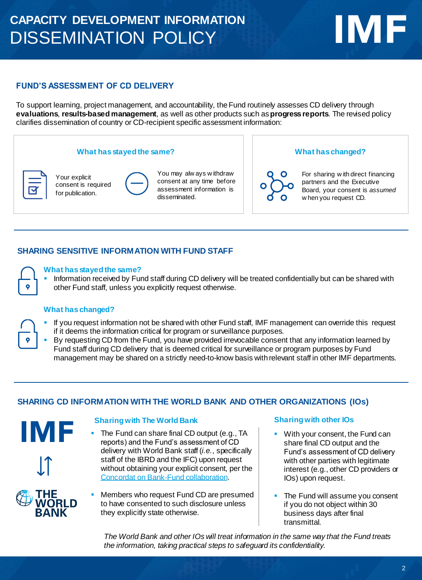## **CAPACITY DEVELOPMENT INFORMATION**  DISSEMINATION POLICY

### **FUND'S ASSESSMENT OF CD DELIVERY**

To support learning, project management, and accountability, the Fund routinely assesses CD delivery through **evaluations**, **results-based management**, as well as other products such as **progress reports**. The revised policy clarifies dissemination of country or CD-recipient specific assessment information:

#### **What has stayed the same? What has changed?**



Your explicit consent is required for publication.

| Ó  |
|----|
| cо |
| as |
|    |

ou may alw ays w ithdraw onsent at any time before sessment information is disseminated.

For sharing w ith direct financing partners and the Executive Board, your consent is *assumed* w hen you request CD.

**IMF** 

#### **SHARING SENSITIVE INFORMATION WITH FUND STAFF**

#### **What has stayed the same?**

Information received by Fund staff during CD delivery will be treated confidentially but can be shared with other Fund staff, unless you explicitly request otherwise.

#### **What has changed?**

- If you request information not be shared with other Fund staff, IMF management can override this request if it deems the information critical for program or surveillance purposes.
- By requesting CD from the Fund, you have provided irrevocable consent that any information learned by Fund staff during CD delivery that is deemed critical for surveillance or program purposes by Fund management may be shared on a strictly need-to-know basis with relevant staff in other IMF departments.

#### **SHARING CD INFORMATION WITH THE WORLD BANK AND OTHER ORGANIZATIONS (IOs)**

# IMF

#### **Sharing with The World Bank Sharing with other IOs**

- **The Fund can share final CD output (e.g., TA** reports) and the Fund's assessment of CD delivery with World Bank staff (*i.e.*, specifically staff of the IBRD and the IFC) upon request without obtaining your explicit consent, per the [Concordat on Bank-Fund collaboration.](https://0-www-imf-org.library.svsu.edu/en/publications/selected-decisions/description?decision=sm%2F89%2F54)
- Members who request Fund CD are presumed to have consented to such disclosure unless they explicitly state otherwise.

- With your consent, the Fund can share final CD output and the Fund's assessment of CD delivery with other parties with legitimate interest (e.g., other CD providers or IOs) upon request.
- **The Fund will assume you consent** if you do not object within 30 business days after final transmittal.

*The World Bank and other IOs will treat information in the same way that the Fund treats the information, taking practical steps to safeguard its confidentiality.*